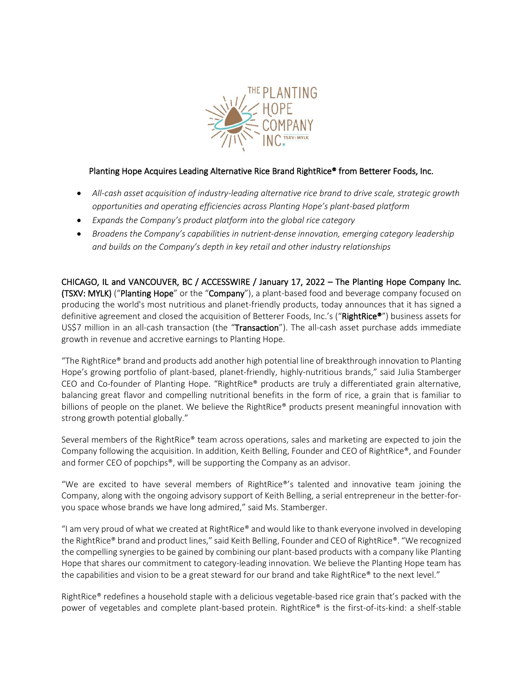

# Planting Hope Acquires Leading Alternative Rice Brand RightRice® from Betterer Foods, Inc.

- *All-cash asset acquisition of industry-leading alternative rice brand to drive scale, strategic growth opportunities and operating efficiencies across Planting Hope's plant-based platform*
- *Expands the Company's product platform into the global rice category*
- *Broadens the Company's capabilities in nutrient-dense innovation, emerging category leadership and builds on the Company's depth in key retail and other industry relationships*

CHICAGO, IL and VANCOUVER, BC / ACCESSWIRE / January 17, 2022 – The Planting Hope Company Inc. (TSXV: MYLK) ("Planting Hope" or the "Company"), a plant-based food and beverage company focused on producing the world's most nutritious and planet-friendly products, today announces that it has signed a definitive agreement and closed the acquisition of Betterer Foods, Inc.'s ("RightRice®") business assets for US\$7 million in an all-cash transaction (the "Transaction"). The all-cash asset purchase adds immediate growth in revenue and accretive earnings to Planting Hope.

"The RightRice® brand and products add another high potential line of breakthrough innovation to Planting Hope's growing portfolio of plant-based, planet-friendly, highly-nutritious brands," said Julia Stamberger CEO and Co-founder of Planting Hope. "RightRice® products are truly a differentiated grain alternative, balancing great flavor and compelling nutritional benefits in the form of rice, a grain that is familiar to billions of people on the planet. We believe the RightRice® products present meaningful innovation with strong growth potential globally."

Several members of the RightRice® team across operations, sales and marketing are expected to join the Company following the acquisition. In addition, Keith Belling, Founder and CEO of RightRice®, and Founder and former CEO of popchips®, will be supporting the Company as an advisor.

"We are excited to have several members of RightRice®'s talented and innovative team joining the Company, along with the ongoing advisory support of Keith Belling, a serial entrepreneur in the better-foryou space whose brands we have long admired," said Ms. Stamberger.

"I am very proud of what we created at RightRice® and would like to thank everyone involved in developing the RightRice® brand and product lines," said Keith Belling, Founder and CEO of RightRice®. "We recognized the compelling synergies to be gained by combining our plant-based products with a company like Planting Hope that shares our commitment to category-leading innovation. We believe the Planting Hope team has the capabilities and vision to be a great steward for our brand and take RightRice® to the next level."

RightRice® redefines a household staple with a delicious vegetable-based rice grain that's packed with the power of vegetables and complete plant-based protein. RightRice® is the first-of-its-kind: a shelf-stable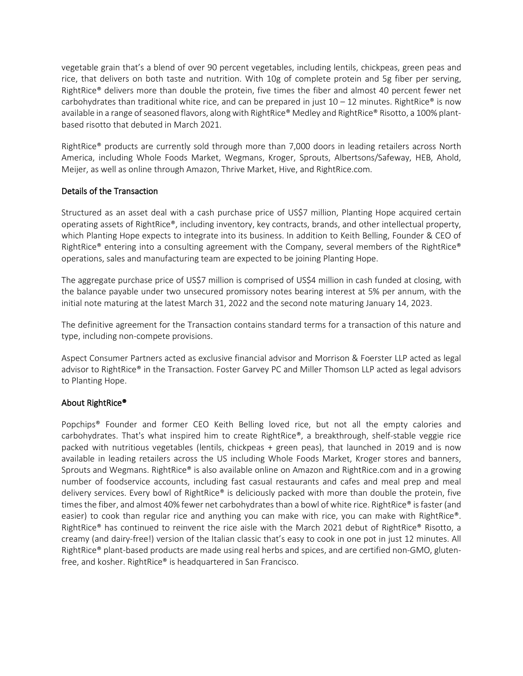vegetable grain that's a blend of over 90 percent vegetables, including lentils, chickpeas, green peas and rice, that delivers on both taste and nutrition. With 10g of complete protein and 5g fiber per serving, RightRice® delivers more than double the protein, five times the fiber and almost 40 percent fewer net carbohydrates than traditional white rice, and can be prepared in just  $10 - 12$  minutes. RightRice® is now available in a range of seasoned flavors, along with RightRice® Medley and RightRice® Risotto, a 100% plantbased risotto that debuted in March 2021.

RightRice® products are currently sold through more than 7,000 doors in leading retailers across North America, including Whole Foods Market, Wegmans, Kroger, Sprouts, Albertsons/Safeway, HEB, Ahold, Meijer, as well as online through Amazon, Thrive Market, Hive, and RightRice.com.

### Details of the Transaction

Structured as an asset deal with a cash purchase price of US\$7 million, Planting Hope acquired certain operating assets of RightRice®, including inventory, key contracts, brands, and other intellectual property, which Planting Hope expects to integrate into its business. In addition to Keith Belling, Founder & CEO of RightRice® entering into a consulting agreement with the Company, several members of the RightRice® operations, sales and manufacturing team are expected to be joining Planting Hope.

The aggregate purchase price of US\$7 million is comprised of US\$4 million in cash funded at closing, with the balance payable under two unsecured promissory notes bearing interest at 5% per annum, with the initial note maturing at the latest March 31, 2022 and the second note maturing January 14, 2023.

The definitive agreement for the Transaction contains standard terms for a transaction of this nature and type, including non-compete provisions.

Aspect Consumer Partners acted as exclusive financial advisor and Morrison & Foerster LLP acted as legal advisor to RightRice® in the Transaction. Foster Garvey PC and Miller Thomson LLP acted as legal advisors to Planting Hope.

#### About RightRice®

Popchips® Founder and former CEO Keith Belling loved rice, but not all the empty calories and carbohydrates. That's what inspired him to create RightRice®, a breakthrough, shelf-stable veggie rice packed with nutritious vegetables (lentils, chickpeas + green peas), that launched in 2019 and is now available in leading retailers across the US including Whole Foods Market, Kroger stores and banners, Sprouts and Wegmans. RightRice® is also available online on Amazon and RightRice.com and in a growing number of foodservice accounts, including fast casual restaurants and cafes and meal prep and meal delivery services. Every bowl of RightRice® is deliciously packed with more than double the protein, five times the fiber, and almost 40% fewer net carbohydrates than a bowl of white rice. RightRice® is faster (and easier) to cook than regular rice and anything you can make with rice, you can make with RightRice®. RightRice® has continued to reinvent the rice aisle with the March 2021 debut of RightRice® Risotto, a creamy (and dairy-free!) version of the Italian classic that's easy to cook in one pot in just 12 minutes. All RightRice® plant-based products are made using real herbs and spices, and are certified non-GMO, glutenfree, and kosher. RightRice® is headquartered in San Francisco.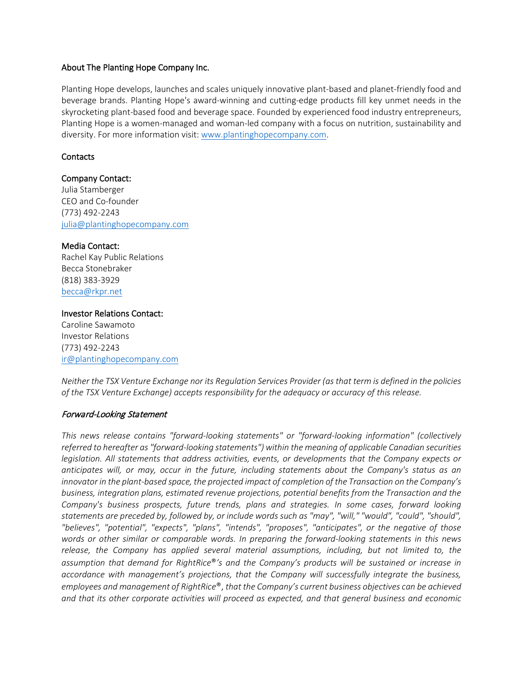#### About The Planting Hope Company Inc.

Planting Hope develops, launches and scales uniquely innovative plant-based and planet-friendly food and beverage brands. Planting Hope's award-winning and cutting-edge products fill key unmet needs in the skyrocketing plant-based food and beverage space. Founded by experienced food industry entrepreneurs, Planting Hope is a women-managed and woman-led company with a focus on nutrition, sustainability and diversity. For more information visit[: www.plantinghopecompany.com.](http://www.plantinghopecompany.com/)

### **Contacts**

### Company Contact:

Julia Stamberger CEO and Co-founder (773) 492-2243 [julia@plantinghopecompany.com](mailto:julia@plantinghopecompany.com)

### Media Contact:

Rachel Kay Public Relations Becca Stonebraker (818) 383-3929 [becca@rkpr.net](mailto:becca@rkpr.net)

#### Investor Relations Contact: Caroline Sawamoto Investor Relations (773) 492-2243

[ir@plantinghopecompany.com](mailto:ir@plantinghopecompany.com)

*Neither the TSX Venture Exchange nor its Regulation Services Provider (as that term is defined in the policies of the TSX Venture Exchange) accepts responsibility for the adequacy or accuracy of this release.*

## Forward-Looking Statement

*This news release contains "forward-looking statements" or "forward-looking information" (collectively referred to hereafter as "forward-looking statements") within the meaning of applicable Canadian securities legislation. All statements that address activities, events, or developments that the Company expects or anticipates will, or may, occur in the future, including statements about the Company's status as an innovator in the plant-based space, the projected impact of completion of the Transaction on the Company's business, integration plans, estimated revenue projections, potential benefits from the Transaction and the Company's business prospects, future trends, plans and strategies. In some cases, forward looking statements are preceded by, followed by, or include words such as "may", "will," "would", "could", "should", "believes", "potential", "expects", "plans", "intends", "proposes", "anticipates", or the negative of those words or other similar or comparable words. In preparing the forward-looking statements in this news release, the Company has applied several material assumptions, including, but not limited to, the assumption that demand for RightRice*®*'s and the Company's products will be sustained or increase in accordance with management's projections, that the Company will successfully integrate the business, employees and management of RightRice*®, *that the Company's current business objectives can be achieved and that its other corporate activities will proceed as expected, and that general business and economic*